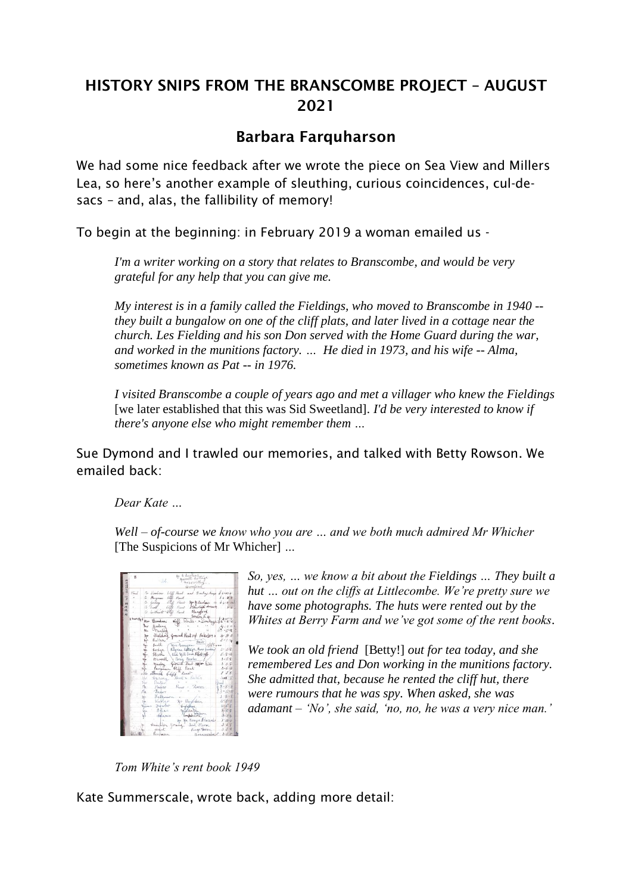# HISTORY SNIPS FROM THE BRANSCOMBE PROJECT – AUGUST 2021

## Barbara Farquharson

We had some nice feedback after we wrote the piece on Sea View and Millers Lea, so here's another example of sleuthing, curious coincidences, cul-desacs – and, alas, the fallibility of memory!

To begin at the beginning: in February 2019 a woman emailed us -

*I'm a writer working on a story that relates to Branscombe, and would be very grateful for any help that you can give me.*

*My interest is in a family called the Fieldings, who moved to Branscombe in 1940 - they built a bungalow on one of the cliff plats, and later lived in a cottage near the church. Les Fielding and his son Don served with the Home Guard during the war, and worked in the munitions factory. … He died in 1973, and his wife -- Alma, sometimes known as Pat -- in 1976.*

*I visited Branscombe a couple of years ago and met a villager who knew the Fieldings* [we later established that this was Sid Sweetland]*. I'd be very interested to know if there's anyone else who might remember them …* 

Sue Dymond and I trawled our memories, and talked with Betty Rowson. We emailed back:

*Dear Kate …* 

*Well – of-course we know who you are … and we both much admired Mr Whicher*  [The Suspicions of Mr Whicher] *…* 



*So, yes, … we know a bit about the Fieldings … They built a hut … out on the cliffs at Littlecombe. We're pretty sure we have some photographs. The huts were rented out by the Whites at Berry Farm and we've got some of the rent books.*

*We took an old friend* [Betty!] *out for tea today, and she remembered Les and Don working in the munitions factory. She admitted that, because he rented the cliff hut, there were rumours that he was spy. When asked, she was adamant – 'No', she said, 'no, no, he was a very nice man.'* 

*Tom White's rent book 1949*

Kate Summerscale, wrote back, adding more detail: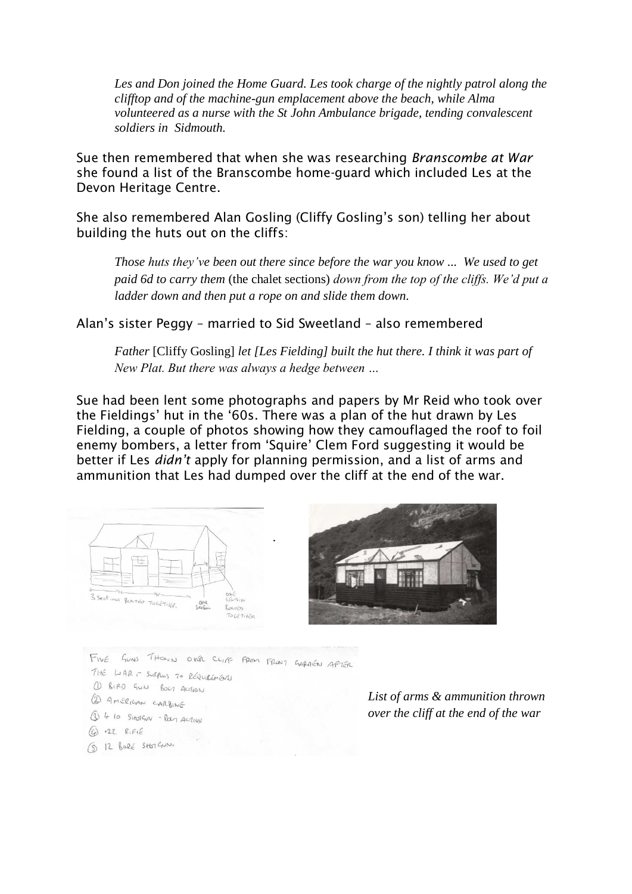*Les and Don joined the Home Guard. Les took charge of the nightly patrol along the clifftop and of the machine-gun emplacement above the beach, while Alma volunteered as a nurse with the St John Ambulance brigade, tending convalescent soldiers in Sidmouth.*

Sue then remembered that when she was researching *Branscombe at War* she found a list of the Branscombe home-guard which included Les at the Devon Heritage Centre.

She also remembered Alan Gosling (Cliffy Gosling's son) telling her about building the huts out on the cliffs:

*Those huts they've been out there since before the war you know ... We used to get paid 6d to carry them* (the chalet sections) *down from the top of the cliffs. We'd put a ladder down and then put a rope on and slide them down.*

Alan's sister Peggy – married to Sid Sweetland – also remembered

*Father* [Cliffy Gosling] *let [Les Fielding] built the hut there. I think it was part of New Plat. But there was always a hedge between …*

Sue had been lent some photographs and papers by Mr Reid who took over the Fieldings' hut in the '60s. There was a plan of the hut drawn by Les Fielding, a couple of photos showing how they camouflaged the roof to foil enemy bombers, a letter from 'Squire' Clem Ford suggesting it would be better if Les *didn't* apply for planning permission, and a list of arms and ammunition that Les had dumped over the cliff at the end of the war.



GUNS THOUN OVER CLIPS FROM FRONT GARAGEN APTER FIVE THE LIAR - SURPLUS 70 REQUIREMENTS 1 BIRD GUN BOLT ACCHON 2 AMÉRICAN CARBINE 1 4 10 SHOTGUN - BOLT ACTION  $622RFE$ 

5 12 BORÉ SHOTGUN.

*List of arms & ammunition thrown over the cliff at the end of the war*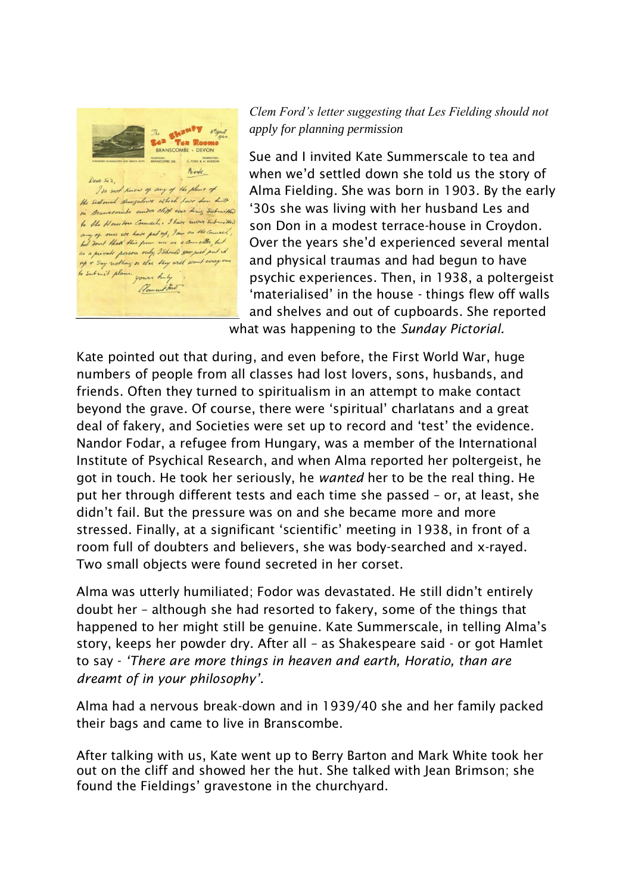

### *Clem Ford's letter suggesting that Les Fielding should not apply for planning permission*

Sue and I invited Kate Summerscale to tea and when we'd settled down she told us the story of Alma Fielding. She was born in 1903. By the early '30s she was living with her husband Les and son Don in a modest terrace-house in Croydon. Over the years she'd experienced several mental and physical traumas and had begun to have psychic experiences. Then, in 1938, a poltergeist 'materialised' in the house - things flew off walls and shelves and out of cupboards. She reported what was happening to the *Sunday Pictorial.* 

Kate pointed out that during, and even before, the First World War, huge numbers of people from all classes had lost lovers, sons, husbands, and friends. Often they turned to spiritualism in an attempt to make contact beyond the grave. Of course, there were 'spiritual' charlatans and a great deal of fakery, and Societies were set up to record and 'test' the evidence. Nandor Fodar, a refugee from Hungary, was a member of the International Institute of Psychical Research, and when Alma reported her poltergeist, he got in touch. He took her seriously, he *wanted* her to be the real thing. He put her through different tests and each time she passed – or, at least, she didn't fail. But the pressure was on and she became more and more stressed. Finally, at a significant 'scientific' meeting in 1938, in front of a room full of doubters and believers, she was body-searched and x-rayed. Two small objects were found secreted in her corset.

Alma was utterly humiliated; Fodor was devastated. He still didn't entirely doubt her – although she had resorted to fakery, some of the things that happened to her might still be genuine. Kate Summerscale, in telling Alma's story, keeps her powder dry. After all – as Shakespeare said - or got Hamlet to say - *'There are more things in heaven and earth, Horatio, than are dreamt of in your philosophy'.* 

Alma had a nervous break-down and in 1939/40 she and her family packed their bags and came to live in Branscombe.

After talking with us, Kate went up to Berry Barton and Mark White took her out on the cliff and showed her the hut. She talked with Jean Brimson; she found the Fieldings' gravestone in the churchyard.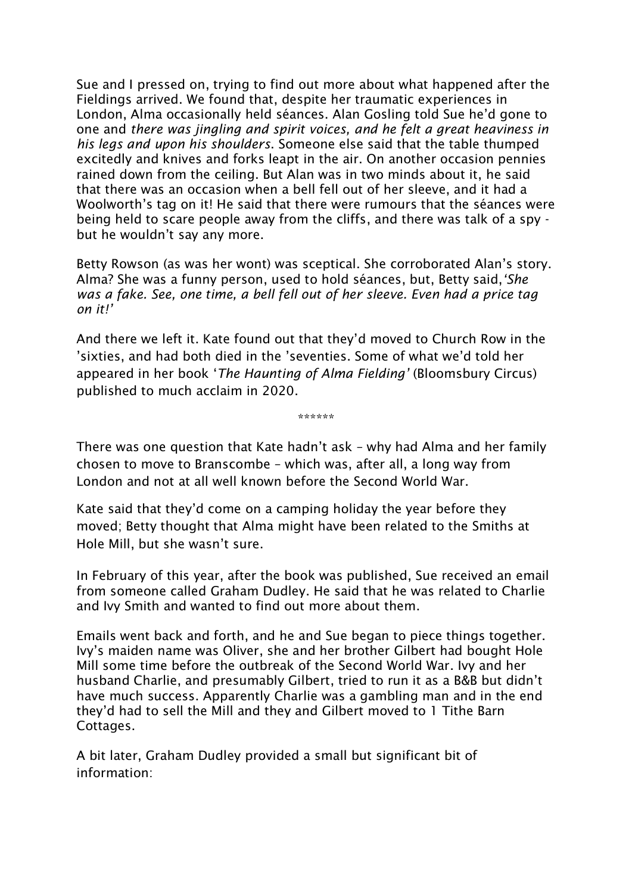Sue and I pressed on, trying to find out more about what happened after the Fieldings arrived. We found that, despite her traumatic experiences in London, Alma occasionally held séances. Alan Gosling told Sue he'd gone to one and *there was jingling and spirit voices, and he felt a great heaviness in his legs and upon his shoulders*. Someone else said that the table thumped excitedly and knives and forks leapt in the air. On another occasion pennies rained down from the ceiling. But Alan was in two minds about it, he said that there was an occasion when a bell fell out of her sleeve, and it had a Woolworth's tag on it! He said that there were rumours that the séances were being held to scare people away from the cliffs, and there was talk of a spy but he wouldn't say any more.

Betty Rowson (as was her wont) was sceptical. She corroborated Alan's story. Alma? She was a funny person, used to hold séances, but, Betty said,*'She*  was a fake. See, one time, a bell fell out of her sleeve. Even had a price tag *on it!'*

And there we left it. Kate found out that they'd moved to Church Row in the 'sixties, and had both died in the 'seventies. Some of what we'd told her appeared in her book '*The Haunting of Alma Fielding'* (Bloomsbury Circus) published to much acclaim in 2020.

There was one question that Kate hadn't ask – why had Alma and her family chosen to move to Branscombe – which was, after all, a long way from London and not at all well known before the Second World War.

\*\*\*\*\*\*

Kate said that they'd come on a camping holiday the year before they moved; Betty thought that Alma might have been related to the Smiths at Hole Mill, but she wasn't sure.

In February of this year, after the book was published, Sue received an email from someone called Graham Dudley. He said that he was related to Charlie and Ivy Smith and wanted to find out more about them.

Emails went back and forth, and he and Sue began to piece things together. Ivy's maiden name was Oliver, she and her brother Gilbert had bought Hole Mill some time before the outbreak of the Second World War. Ivy and her husband Charlie, and presumably Gilbert, tried to run it as a B&B but didn't have much success. Apparently Charlie was a gambling man and in the end they'd had to sell the Mill and they and Gilbert moved to 1 Tithe Barn Cottages.

A bit later, Graham Dudley provided a small but significant bit of information: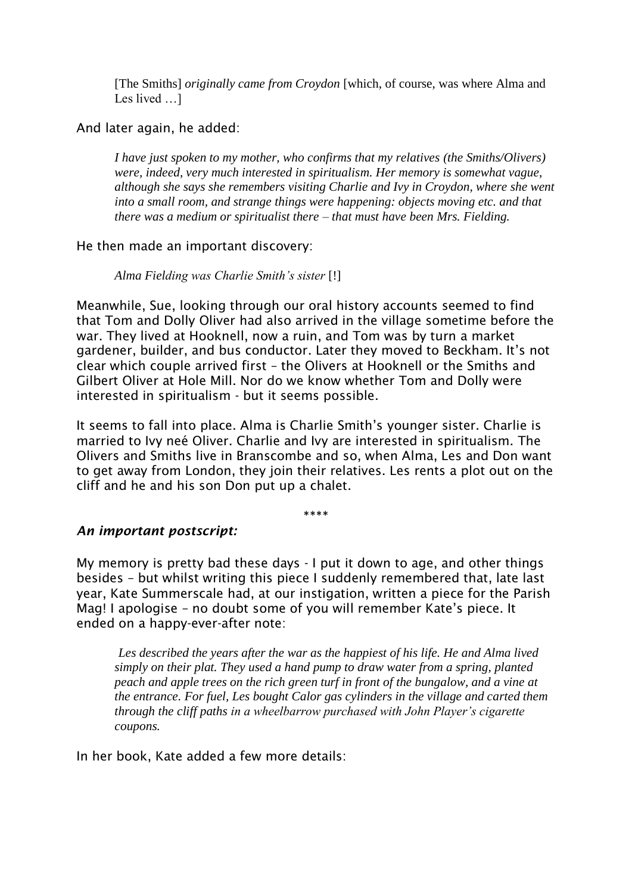[The Smiths] *originally came from Croydon* [which, of course, was where Alma and Les lived …]

#### And later again, he added:

*I have just spoken to my mother, who confirms that my relatives (the Smiths/Olivers) were, indeed, very much interested in spiritualism. Her memory is somewhat vague, although she says she remembers visiting Charlie and Ivy in Croydon, where she went into a small room, and strange things were happening: objects moving etc. and that there was a medium or spiritualist there – that must have been Mrs. Fielding.* 

#### He then made an important discovery:

*Alma Fielding was Charlie Smith's sister* [!]

Meanwhile, Sue, looking through our oral history accounts seemed to find that Tom and Dolly Oliver had also arrived in the village sometime before the war. They lived at Hooknell, now a ruin, and Tom was by turn a market gardener, builder, and bus conductor. Later they moved to Beckham. It's not clear which couple arrived first – the Olivers at Hooknell or the Smiths and Gilbert Oliver at Hole Mill. Nor do we know whether Tom and Dolly were interested in spiritualism - but it seems possible.

It seems to fall into place. Alma is Charlie Smith's younger sister. Charlie is married to Ivy neé Oliver. Charlie and Ivy are interested in spiritualism. The Olivers and Smiths live in Branscombe and so, when Alma, Les and Don want to get away from London, they join their relatives. Les rents a plot out on the cliff and he and his son Don put up a chalet.

\*\*\*\*

#### *An important postscript:*

My memory is pretty bad these days - I put it down to age, and other things besides – but whilst writing this piece I suddenly remembered that, late last year, Kate Summerscale had, at our instigation, written a piece for the Parish Mag! I apologise – no doubt some of you will remember Kate's piece. It ended on a happy-ever-after note:

*Les described the years after the war as the happiest of his life. He and Alma lived simply on their plat. They used a hand pump to draw water from a spring, planted peach and apple trees on the rich green turf in front of the bungalow, and a vine at the entrance. For fuel, Les bought Calor gas cylinders in the village and carted them through the cliff paths in a wheelbarrow purchased with John Player's cigarette coupons.*

In her book, Kate added a few more details: